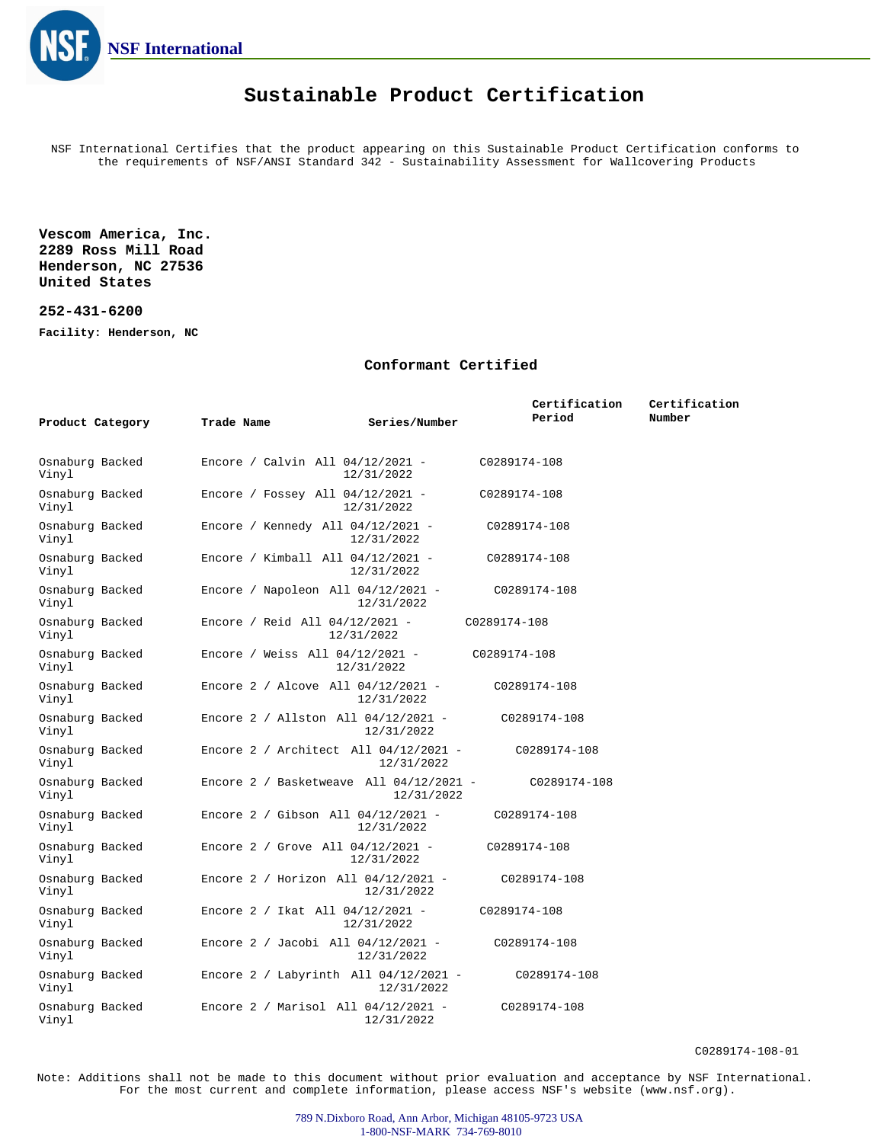

## **Sustainable Product Certification**

NSF International Certifies that the product appearing on this Sustainable Product Certification conforms to the requirements of NSF/ANSI Standard 342 - Sustainability Assessment for Wallcovering Products

**Vescom America, Inc. 2289 Ross Mill Road Henderson, NC 27536 United States**

## **252-431-6200**

**Facility: Henderson, NC**

## **Conformant Certified**

| Product Category         | Trade Name                                | Series/Number | Certification<br>Period | Certification<br>Number |
|--------------------------|-------------------------------------------|---------------|-------------------------|-------------------------|
| Osnaburg Backed<br>Vinyl | Encore / Calvin All $04/12/2021$ -        | 12/31/2022    | C0289174-108            |                         |
| Osnaburg Backed<br>Vinyl | Encore / Fossey All $04/12/2021$ -        | 12/31/2022    | C0289174-108            |                         |
| Osnaburg Backed<br>Vinyl | Encore / Kennedy All 04/12/2021 -         | 12/31/2022    | C0289174-108            |                         |
| Osnaburg Backed<br>Vinyl | Encore / Kimball All $04/12/2021$ -       | 12/31/2022    | C0289174-108            |                         |
| Osnaburg Backed<br>Vinyl | Encore / Napoleon All $04/12/2021$ -      | 12/31/2022    | C0289174-108            |                         |
| Osnaburg Backed<br>Vinyl | Encore / Reid All 04/12/2021 -            | 12/31/2022    | C0289174-108            |                         |
| Osnaburg Backed<br>Vinyl | Encore / Weiss All $04/12/2021$ -         | 12/31/2022    | C0289174-108            |                         |
| Osnaburg Backed<br>Vinyl | Encore $2 /$ Alcove All $04/12/2021 -$    | 12/31/2022    | C0289174-108            |                         |
| Osnaburg Backed<br>Vinyl | Encore 2 / Allston All 04/12/2021 -       | 12/31/2022    | C0289174-108            |                         |
| Osnaburg Backed<br>Vinyl | Encore 2 / Architect All $04/12/2021 -$   | 12/31/2022    | C0289174-108            |                         |
| Osnaburg Backed<br>Vinyl | Encore 2 / Basketweave All $04/12/2021$ - | 12/31/2022    | C0289174-108            |                         |
| Osnaburg Backed<br>Vinyl | Encore $2 /$ Gibson All $04/12/2021 -$    | 12/31/2022    | C0289174-108            |                         |
| Osnaburg Backed<br>Vinyl | Encore 2 / Grove All $04/12/2021$ -       | 12/31/2022    | C0289174-108            |                         |
| Osnaburg Backed<br>Vinyl | Encore $2 /$ Horizon All $04/12/2021 -$   | 12/31/2022    | C0289174-108            |                         |
| Osnaburg Backed<br>Vinyl | Encore 2 / Ikat All $04/12/2021$ -        | 12/31/2022    | C0289174-108            |                         |
| Osnaburg Backed<br>Vinyl | Encore $2 /$ Jacobi All $04/12/2021 -$    | 12/31/2022    | C0289174-108            |                         |
| Osnaburg Backed<br>Vinyl | Encore 2 / Labyrinth All $04/12/2021$ -   | 12/31/2022    | C0289174-108            |                         |
| Osnaburg Backed<br>Vinyl | Encore 2 / Marisol All 04/12/2021 -       | 12/31/2022    | C0289174-108            |                         |

C0289174-108-01

Note: Additions shall not be made to this document without prior evaluation and acceptance by NSF International. For the most current and complete information, please access NSF's website (www.nsf.org).